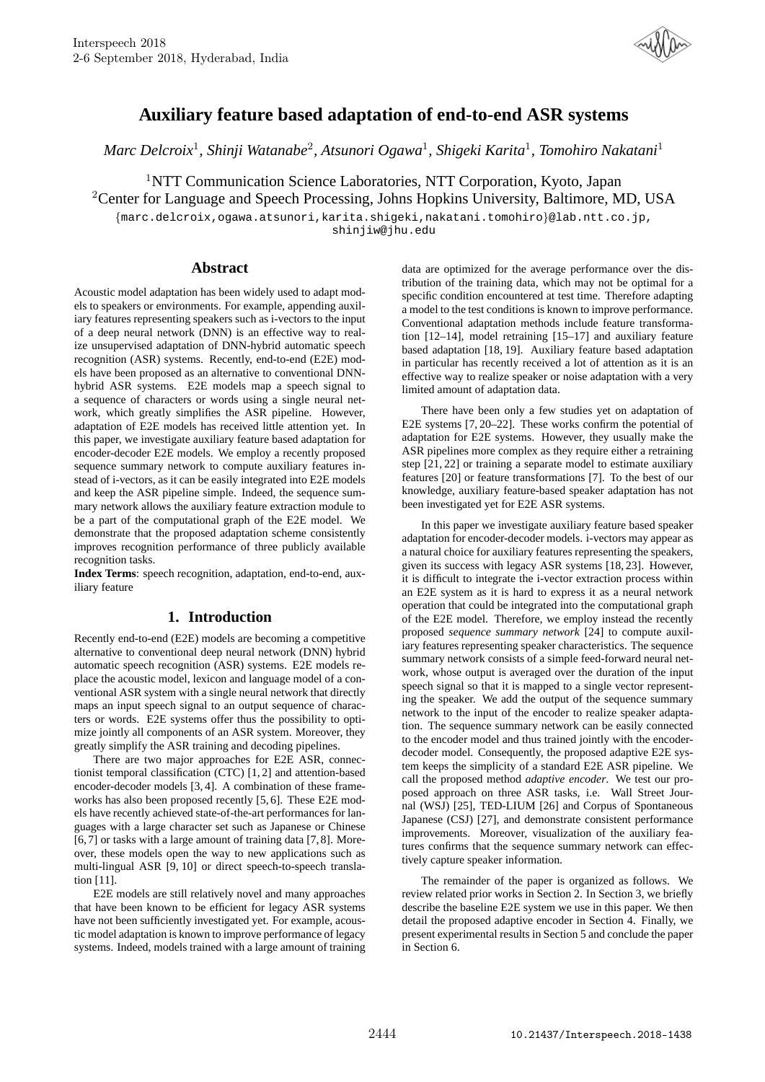

# **Auxiliary feature based adaptation of end-to-end ASR systems**

*Marc Delcroix*<sup>1</sup> *, Shinji Watanabe*<sup>2</sup> *, Atsunori Ogawa*<sup>1</sup> *, Shigeki Karita*<sup>1</sup> *, Tomohiro Nakatani*<sup>1</sup>

<sup>1</sup>NTT Communication Science Laboratories, NTT Corporation, Kyoto, Japan <sup>2</sup>Center for Language and Speech Processing, Johns Hopkins University, Baltimore, MD, USA

{marc.delcroix,ogawa.atsunori,karita.shigeki,nakatani.tomohiro}@lab.ntt.co.jp, shinjiw@jhu.edu

## **Abstract**

Acoustic model adaptation has been widely used to adapt models to speakers or environments. For example, appending auxiliary features representing speakers such as i-vectors to the input of a deep neural network (DNN) is an effective way to realize unsupervised adaptation of DNN-hybrid automatic speech recognition (ASR) systems. Recently, end-to-end (E2E) models have been proposed as an alternative to conventional DNNhybrid ASR systems. E2E models map a speech signal to a sequence of characters or words using a single neural network, which greatly simplifies the ASR pipeline. However, adaptation of E2E models has received little attention yet. In this paper, we investigate auxiliary feature based adaptation for encoder-decoder E2E models. We employ a recently proposed sequence summary network to compute auxiliary features instead of i-vectors, as it can be easily integrated into E2E models and keep the ASR pipeline simple. Indeed, the sequence summary network allows the auxiliary feature extraction module to be a part of the computational graph of the E2E model. We demonstrate that the proposed adaptation scheme consistently improves recognition performance of three publicly available recognition tasks.

**Index Terms**: speech recognition, adaptation, end-to-end, auxiliary feature

# **1. Introduction**

Recently end-to-end (E2E) models are becoming a competitive alternative to conventional deep neural network (DNN) hybrid automatic speech recognition (ASR) systems. E2E models replace the acoustic model, lexicon and language model of a conventional ASR system with a single neural network that directly maps an input speech signal to an output sequence of characters or words. E2E systems offer thus the possibility to optimize jointly all components of an ASR system. Moreover, they greatly simplify the ASR training and decoding pipelines.

There are two major approaches for E2E ASR, connectionist temporal classification (CTC) [1, 2] and attention-based encoder-decoder models [3, 4]. A combination of these frameworks has also been proposed recently [5, 6]. These E2E models have recently achieved state-of-the-art performances for languages with a large character set such as Japanese or Chinese [6, 7] or tasks with a large amount of training data [7, 8]. Moreover, these models open the way to new applications such as multi-lingual ASR [9, 10] or direct speech-to-speech translation [11].

E2E models are still relatively novel and many approaches that have been known to be efficient for legacy ASR systems have not been sufficiently investigated yet. For example, acoustic model adaptation is known to improve performance of legacy systems. Indeed, models trained with a large amount of training data are optimized for the average performance over the distribution of the training data, which may not be optimal for a specific condition encountered at test time. Therefore adapting a model to the test conditions is known to improve performance. Conventional adaptation methods include feature transformation [12–14], model retraining [15–17] and auxiliary feature based adaptation [18, 19]. Auxiliary feature based adaptation in particular has recently received a lot of attention as it is an effective way to realize speaker or noise adaptation with a very limited amount of adaptation data.

There have been only a few studies yet on adaptation of E2E systems [7, 20–22]. These works confirm the potential of adaptation for E2E systems. However, they usually make the ASR pipelines more complex as they require either a retraining step [21, 22] or training a separate model to estimate auxiliary features [20] or feature transformations [7]. To the best of our knowledge, auxiliary feature-based speaker adaptation has not been investigated yet for E2E ASR systems.

In this paper we investigate auxiliary feature based speaker adaptation for encoder-decoder models. i-vectors may appear as a natural choice for auxiliary features representing the speakers, given its success with legacy ASR systems [18, 23]. However, it is difficult to integrate the i-vector extraction process within an E2E system as it is hard to express it as a neural network operation that could be integrated into the computational graph of the E2E model. Therefore, we employ instead the recently proposed *sequence summary network* [24] to compute auxiliary features representing speaker characteristics. The sequence summary network consists of a simple feed-forward neural network, whose output is averaged over the duration of the input speech signal so that it is mapped to a single vector representing the speaker. We add the output of the sequence summary network to the input of the encoder to realize speaker adaptation. The sequence summary network can be easily connected to the encoder model and thus trained jointly with the encoderdecoder model. Consequently, the proposed adaptive E2E system keeps the simplicity of a standard E2E ASR pipeline. We call the proposed method *adaptive encoder*. We test our proposed approach on three ASR tasks, i.e. Wall Street Journal (WSJ) [25], TED-LIUM [26] and Corpus of Spontaneous Japanese (CSJ) [27], and demonstrate consistent performance improvements. Moreover, visualization of the auxiliary features confirms that the sequence summary network can effectively capture speaker information.

The remainder of the paper is organized as follows. We review related prior works in Section 2. In Section 3, we briefly describe the baseline E2E system we use in this paper. We then detail the proposed adaptive encoder in Section 4. Finally, we present experimental results in Section 5 and conclude the paper in Section 6.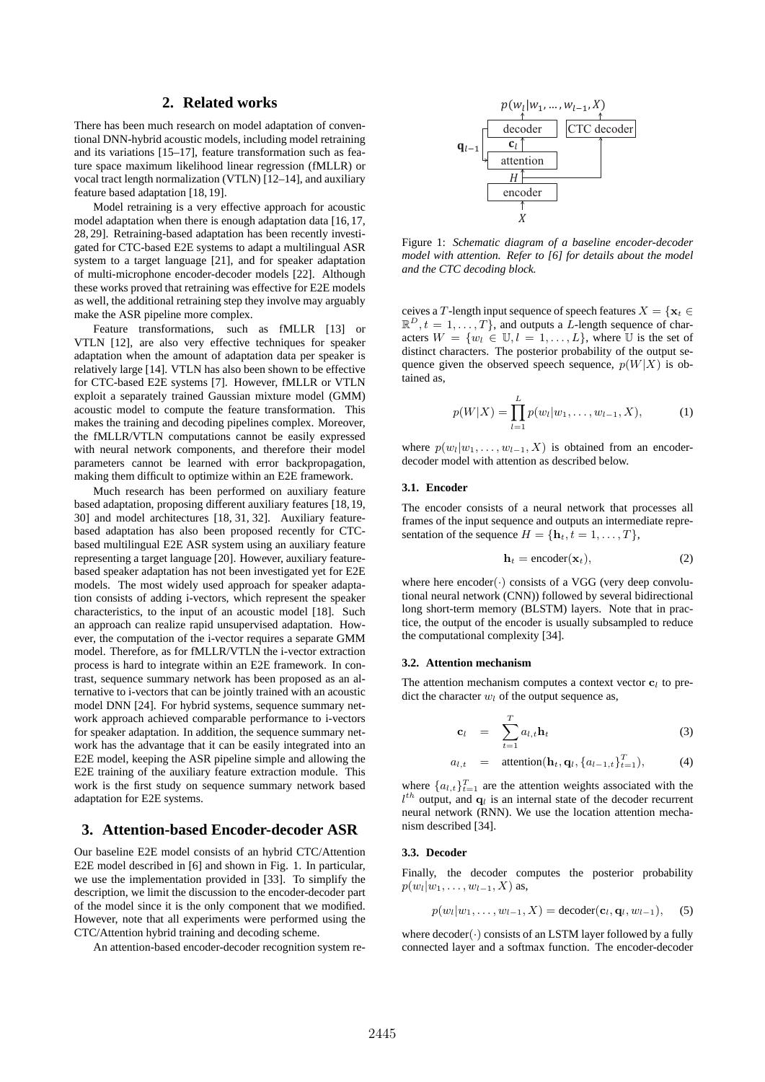### **2. Related works**

There has been much research on model adaptation of conventional DNN-hybrid acoustic models, including model retraining and its variations [15–17], feature transformation such as feature space maximum likelihood linear regression (fMLLR) or vocal tract length normalization (VTLN) [12–14], and auxiliary feature based adaptation [18, 19].

Model retraining is a very effective approach for acoustic model adaptation when there is enough adaptation data [16, 17, 28, 29]. Retraining-based adaptation has been recently investigated for CTC-based E2E systems to adapt a multilingual ASR system to a target language [21], and for speaker adaptation of multi-microphone encoder-decoder models [22]. Although these works proved that retraining was effective for E2E models as well, the additional retraining step they involve may arguably make the ASR pipeline more complex.

Feature transformations, such as fMLLR [13] or VTLN [12], are also very effective techniques for speaker adaptation when the amount of adaptation data per speaker is relatively large [14]. VTLN has also been shown to be effective for CTC-based E2E systems [7]. However, fMLLR or VTLN exploit a separately trained Gaussian mixture model (GMM) acoustic model to compute the feature transformation. This makes the training and decoding pipelines complex. Moreover, the fMLLR/VTLN computations cannot be easily expressed with neural network components, and therefore their model parameters cannot be learned with error backpropagation, making them difficult to optimize within an E2E framework.

Much research has been performed on auxiliary feature based adaptation, proposing different auxiliary features [18, 19, 30] and model architectures [18, 31, 32]. Auxiliary featurebased adaptation has also been proposed recently for CTCbased multilingual E2E ASR system using an auxiliary feature representing a target language [20]. However, auxiliary featurebased speaker adaptation has not been investigated yet for E2E models. The most widely used approach for speaker adaptation consists of adding i-vectors, which represent the speaker characteristics, to the input of an acoustic model [18]. Such an approach can realize rapid unsupervised adaptation. However, the computation of the i-vector requires a separate GMM model. Therefore, as for fMLLR/VTLN the i-vector extraction process is hard to integrate within an E2E framework. In contrast, sequence summary network has been proposed as an alternative to i-vectors that can be jointly trained with an acoustic model DNN [24]. For hybrid systems, sequence summary network approach achieved comparable performance to i-vectors for speaker adaptation. In addition, the sequence summary network has the advantage that it can be easily integrated into an E2E model, keeping the ASR pipeline simple and allowing the E2E training of the auxiliary feature extraction module. This work is the first study on sequence summary network based adaptation for E2E systems.

### **3. Attention-based Encoder-decoder ASR**

Our baseline E2E model consists of an hybrid CTC/Attention E2E model described in [6] and shown in Fig. 1. In particular, we use the implementation provided in [33]. To simplify the description, we limit the discussion to the encoder-decoder part of the model since it is the only component that we modified. However, note that all experiments were performed using the CTC/Attention hybrid training and decoding scheme.

An attention-based encoder-decoder recognition system re-



Figure 1: *Schematic diagram of a baseline encoder-decoder model with attention. Refer to [6] for details about the model and the CTC decoding block.*

ceives a T-length input sequence of speech features  $X = \{x_t \in$  $\mathbb{R}^D, t = 1, \ldots, T$ , and outputs a L-length sequence of characters  $W = \{w_l \in \mathbb{U}, l = 1, \ldots, L\}$ , where U is the set of distinct characters. The posterior probability of the output sequence given the observed speech sequence,  $p(W|X)$  is obtained as,

$$
p(W|X) = \prod_{l=1}^{L} p(w_l|w_1,\ldots,w_{l-1},X),
$$
 (1)

where  $p(w_l|w_1, \ldots, w_{l-1}, X)$  is obtained from an encoderdecoder model with attention as described below.

#### **3.1. Encoder**

The encoder consists of a neural network that processes all frames of the input sequence and outputs an intermediate representation of the sequence  $H = \{\mathbf{h}_t, t = 1, \dots, T\},\$ 

$$
\mathbf{h}_t = \text{encoder}(\mathbf{x}_t), \tag{2}
$$

where here  $encoder(\cdot)$  consists of a VGG (very deep convolutional neural network (CNN)) followed by several bidirectional long short-term memory (BLSTM) layers. Note that in practice, the output of the encoder is usually subsampled to reduce the computational complexity [34].

#### **3.2. Attention mechanism**

The attention mechanism computes a context vector  $c_l$  to predict the character  $w_l$  of the output sequence as,

$$
\mathbf{c}_l = \sum_{t=1}^T a_{l,t} \mathbf{h}_t \tag{3}
$$

$$
a_{l,t} = \text{attention}(\mathbf{h}_t, \mathbf{q}_l, \{a_{l-1,t}\}_{t=1}^T), \quad (4)
$$

where  $\{a_{l,t}\}_{t=1}^{T}$  are the attention weights associated with the  $l<sup>th</sup>$  output, and  $q_l$  is an internal state of the decoder recurrent neural network (RNN). We use the location attention mechanism described [34].

#### **3.3. Decoder**

Finally, the decoder computes the posterior probability  $p(w_l|w_1, \ldots, w_{l-1}, X)$  as,

$$
p(w_l|w_1,\ldots,w_{l-1},X)=\text{decoder}(\mathbf{c}_l,\mathbf{q}_l,w_{l-1}),\quad (5)
$$

where  $decoder(\cdot)$  consists of an LSTM layer followed by a fully connected layer and a softmax function. The encoder-decoder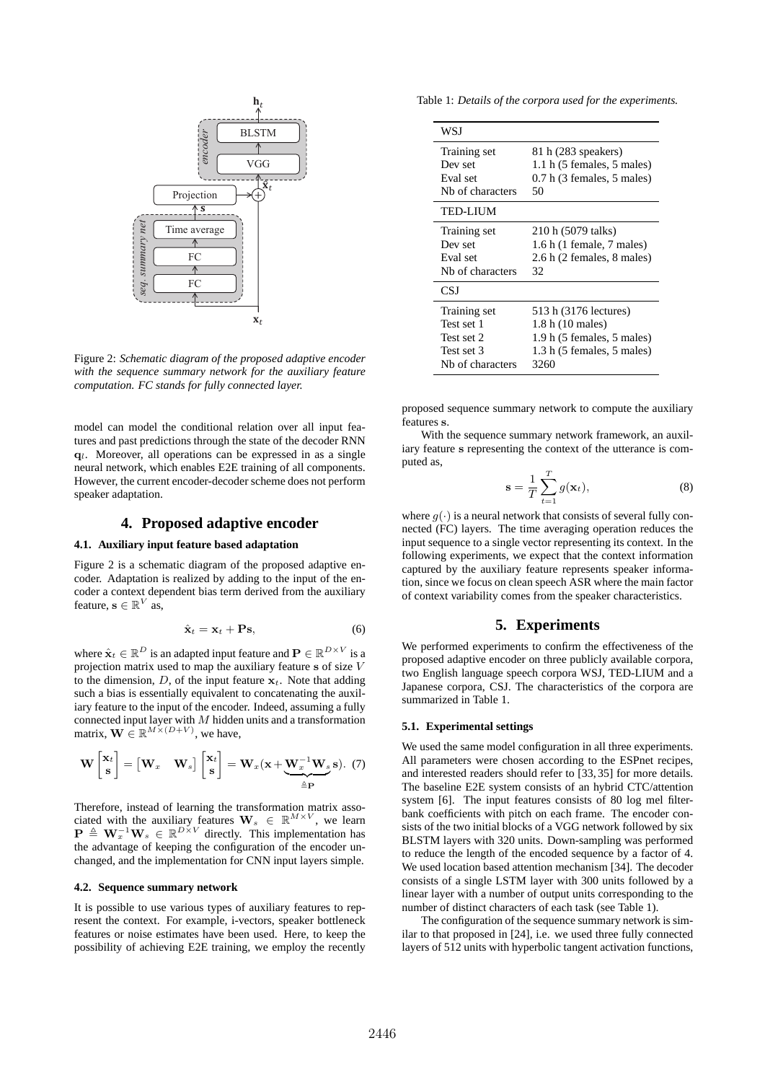

Figure 2: *Schematic diagram of the proposed adaptive encoder with the sequence summary network for the auxiliary feature computation. FC stands for fully connected layer.*

model can model the conditional relation over all input features and past predictions through the state of the decoder RNN  $q_l$ . Moreover, all operations can be expressed in as a single neural network, which enables E2E training of all components. However, the current encoder-decoder scheme does not perform speaker adaptation.

### **4. Proposed adaptive encoder**

### **4.1. Auxiliary input feature based adaptation**

Figure 2 is a schematic diagram of the proposed adaptive encoder. Adaptation is realized by adding to the input of the encoder a context dependent bias term derived from the auxiliary feature,  $\mathbf{s} \in \mathbb{R}^V$  as,

$$
\hat{\mathbf{x}}_t = \mathbf{x}_t + \mathbf{P}\mathbf{s},\tag{6}
$$

where  $\hat{\mathbf{x}}_t \in \mathbb{R}^D$  is an adapted input feature and  $\mathbf{P} \in \mathbb{R}^{D \times V}$  is a projection matrix used to map the auxiliary feature s of size V to the dimension,  $D$ , of the input feature  $x_t$ . Note that adding such a bias is essentially equivalent to concatenating the auxiliary feature to the input of the encoder. Indeed, assuming a fully connected input layer with  $M$  hidden units and a transformation matrix,  $\mathbf{W} \in \mathbb{R}^{M \times (D+V)}$ , we have,

$$
\mathbf{W}\begin{bmatrix} \mathbf{x}_t \\ \mathbf{s} \end{bmatrix} = \begin{bmatrix} \mathbf{W}_x & \mathbf{W}_s \end{bmatrix} \begin{bmatrix} \mathbf{x}_t \\ \mathbf{s} \end{bmatrix} = \mathbf{W}_x (\mathbf{x} + \underbrace{\mathbf{W}_x^{-1} \mathbf{W}_s}_{\triangleq \mathbf{P}} \mathbf{s}). (7)
$$

Therefore, instead of learning the transformation matrix associated with the auxiliary features  $\mathbf{W}_s \in \mathbb{R}^{M \times V}$ , we learn  $\mathbf{P} \triangleq \mathbf{W}_x^{-1} \mathbf{W}_s \in \mathbb{R}^{D \times V}$  directly. This implementation has the advantage of keeping the configuration of the encoder unchanged, and the implementation for CNN input layers simple.

#### **4.2. Sequence summary network**

It is possible to use various types of auxiliary features to represent the context. For example, i-vectors, speaker bottleneck features or noise estimates have been used. Here, to keep the possibility of achieving E2E training, we employ the recently

Table 1: *Details of the corpora used for the experiments.*

| WSJ              |                                                |
|------------------|------------------------------------------------|
| Training set     | 81 h (283 speakers)                            |
| Dev set          | $1.1 h$ (5 females, 5 males)                   |
| Eval set         | $0.7 h$ (3 females, 5 males)                   |
| Nh of characters | 50                                             |
| <b>TED-LIUM</b>  |                                                |
| Training set     | 210 h (5079 talks)                             |
| Dev set          | $1.6 h$ (1 female, 7 males)                    |
| Eval set         | 2.6 h (2 females, 8 males)                     |
| Nh of characters | 32                                             |
| CSJ              |                                                |
| Training set     | 513 h (3176 lectures)                          |
| Test set 1       | 1.8 h (10 males)                               |
| Test set 2       | 1.9 h (5 females, 5 males)                     |
| Test set 3       | $1.3$ h $(5 \text{ females}, 5 \text{ males})$ |
| Nh of characters | 3260                                           |

proposed sequence summary network to compute the auxiliary features s.

With the sequence summary network framework, an auxiliary feature s representing the context of the utterance is computed as,

$$
\mathbf{s} = \frac{1}{T} \sum_{t=1}^{T} g(\mathbf{x}_t), \tag{8}
$$

where  $q(\cdot)$  is a neural network that consists of several fully connected (FC) layers. The time averaging operation reduces the input sequence to a single vector representing its context. In the following experiments, we expect that the context information captured by the auxiliary feature represents speaker information, since we focus on clean speech ASR where the main factor of context variability comes from the speaker characteristics.

#### **5. Experiments**

We performed experiments to confirm the effectiveness of the proposed adaptive encoder on three publicly available corpora, two English language speech corpora WSJ, TED-LIUM and a Japanese corpora, CSJ. The characteristics of the corpora are summarized in Table 1.

#### **5.1. Experimental settings**

We used the same model configuration in all three experiments. All parameters were chosen according to the ESPnet recipes, and interested readers should refer to [33, 35] for more details. The baseline E2E system consists of an hybrid CTC/attention system [6]. The input features consists of 80 log mel filterbank coefficients with pitch on each frame. The encoder consists of the two initial blocks of a VGG network followed by six BLSTM layers with 320 units. Down-sampling was performed to reduce the length of the encoded sequence by a factor of 4. We used location based attention mechanism [34]. The decoder consists of a single LSTM layer with 300 units followed by a linear layer with a number of output units corresponding to the number of distinct characters of each task (see Table 1).

The configuration of the sequence summary network is similar to that proposed in [24], i.e. we used three fully connected layers of 512 units with hyperbolic tangent activation functions,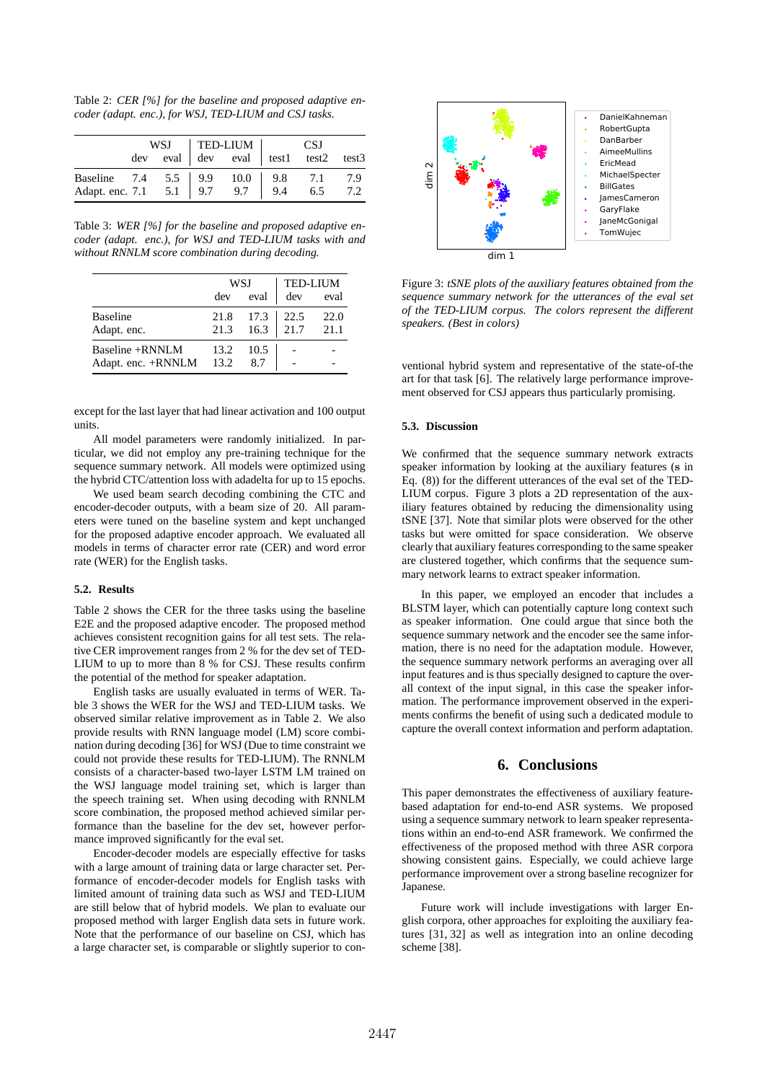Table 2: *CER [%] for the baseline and proposed adaptive encoder (adapt. enc.), for WSJ, TED-LIUM and CSJ tasks.*

|                                                                                  |  |  |  |  | WSJ TED-LIUM CSJ<br>dev eval dev eval test1 test2 test3 |  |  |
|----------------------------------------------------------------------------------|--|--|--|--|---------------------------------------------------------|--|--|
|                                                                                  |  |  |  |  |                                                         |  |  |
|                                                                                  |  |  |  |  |                                                         |  |  |
| Baseline 7.4 5.5 9.9 10.0 9.8 7.1 7.9<br>Adapt. enc. 7.1 5.1 9.7 9.7 9.4 6.5 7.2 |  |  |  |  |                                                         |  |  |

Table 3: *WER [%] for the baseline and proposed adaptive encoder (adapt. enc.), for WSJ and TED-LIUM tasks with and without RNNLM score combination during decoding.*

|                                            |              | WSJ                   | <b>TED-LIUM</b> |              |  |
|--------------------------------------------|--------------|-----------------------|-----------------|--------------|--|
|                                            | dev          | eval                  | dev             | eval         |  |
| <b>Baseline</b><br>Adapt. enc.             | 21.8<br>21.3 | $17.3$   22.5<br>16.3 | 21.7            | 22.0<br>21.1 |  |
| Baseline +RNNLM<br>Adapt. enc. +RNNLM 13.2 | 13.2         | 10.5<br>8.7           |                 |              |  |

except for the last layer that had linear activation and 100 output units.

All model parameters were randomly initialized. In particular, we did not employ any pre-training technique for the sequence summary network. All models were optimized using the hybrid CTC/attention loss with adadelta for up to 15 epochs.

We used beam search decoding combining the CTC and encoder-decoder outputs, with a beam size of 20. All parameters were tuned on the baseline system and kept unchanged for the proposed adaptive encoder approach. We evaluated all models in terms of character error rate (CER) and word error rate (WER) for the English tasks.

#### **5.2. Results**

Table 2 shows the CER for the three tasks using the baseline E2E and the proposed adaptive encoder. The proposed method achieves consistent recognition gains for all test sets. The relative CER improvement ranges from 2 % for the dev set of TED-LIUM to up to more than 8 % for CSJ. These results confirm the potential of the method for speaker adaptation.

English tasks are usually evaluated in terms of WER. Table 3 shows the WER for the WSJ and TED-LIUM tasks. We observed similar relative improvement as in Table 2. We also provide results with RNN language model (LM) score combination during decoding [36] for WSJ (Due to time constraint we could not provide these results for TED-LIUM). The RNNLM consists of a character-based two-layer LSTM LM trained on the WSJ language model training set, which is larger than the speech training set. When using decoding with RNNLM score combination, the proposed method achieved similar performance than the baseline for the dev set, however performance improved significantly for the eval set.

Encoder-decoder models are especially effective for tasks with a large amount of training data or large character set. Performance of encoder-decoder models for English tasks with limited amount of training data such as WSJ and TED-LIUM are still below that of hybrid models. We plan to evaluate our proposed method with larger English data sets in future work. Note that the performance of our baseline on CSJ, which has a large character set, is comparable or slightly superior to con-



Figure 3: *tSNE plots of the auxiliary features obtained from the sequence summary network for the utterances of the eval set of the TED-LIUM corpus. The colors represent the different speakers. (Best in colors)*

ventional hybrid system and representative of the state-of-the art for that task [6]. The relatively large performance improvement observed for CSJ appears thus particularly promising.

#### **5.3. Discussion**

We confirmed that the sequence summary network extracts speaker information by looking at the auxiliary features (s in Eq. (8)) for the different utterances of the eval set of the TED-LIUM corpus. Figure 3 plots a 2D representation of the auxiliary features obtained by reducing the dimensionality using tSNE [37]. Note that similar plots were observed for the other tasks but were omitted for space consideration. We observe clearly that auxiliary features corresponding to the same speaker are clustered together, which confirms that the sequence summary network learns to extract speaker information.

In this paper, we employed an encoder that includes a BLSTM layer, which can potentially capture long context such as speaker information. One could argue that since both the sequence summary network and the encoder see the same information, there is no need for the adaptation module. However, the sequence summary network performs an averaging over all input features and is thus specially designed to capture the overall context of the input signal, in this case the speaker information. The performance improvement observed in the experiments confirms the benefit of using such a dedicated module to capture the overall context information and perform adaptation.

### **6. Conclusions**

This paper demonstrates the effectiveness of auxiliary featurebased adaptation for end-to-end ASR systems. We proposed using a sequence summary network to learn speaker representations within an end-to-end ASR framework. We confirmed the effectiveness of the proposed method with three ASR corpora showing consistent gains. Especially, we could achieve large performance improvement over a strong baseline recognizer for Japanese.

Future work will include investigations with larger English corpora, other approaches for exploiting the auxiliary features [31, 32] as well as integration into an online decoding scheme [38].